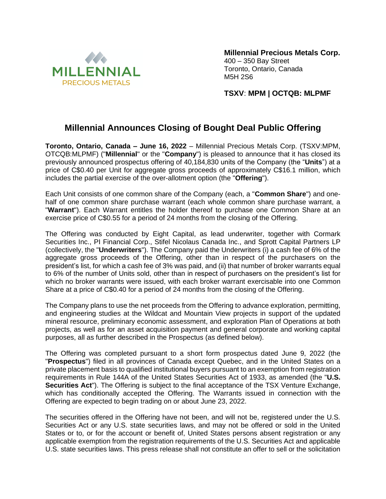

**Millennial Precious Metals Corp.** 400 – 350 Bay Street Toronto, Ontario, Canada M5H 2S6

**TSXV**: **MPM | OCTQB: MLPMF**

## **Millennial Announces Closing of Bought Deal Public Offering**

**Toronto, Ontario, Canada – June 16, 2022** – Millennial Precious Metals Corp. (TSXV:MPM, OTCQB:MLPMF) ("**Millennial**" or the "**Company**") is pleased to announce that it has closed its previously announced prospectus offering of 40,184,830 units of the Company (the "**Units**") at a price of C\$0.40 per Unit for aggregate gross proceeds of approximately C\$16.1 million, which includes the partial exercise of the over-allotment option (the "**Offering**").

Each Unit consists of one common share of the Company (each, a "**Common Share**") and onehalf of one common share purchase warrant (each whole common share purchase warrant, a "**Warrant**"). Each Warrant entitles the holder thereof to purchase one Common Share at an exercise price of C\$0.55 for a period of 24 months from the closing of the Offering.

The Offering was conducted by Eight Capital, as lead underwriter, together with Cormark Securities Inc., PI Financial Corp., Stifel Nicolaus Canada Inc., and Sprott Capital Partners LP (collectively, the "**Underwriters**"). The Company paid the Underwriters (i) a cash fee of 6% of the aggregate gross proceeds of the Offering, other than in respect of the purchasers on the president's list, for which a cash fee of 3% was paid, and (ii) that number of broker warrants equal to 6% of the number of Units sold, other than in respect of purchasers on the president's list for which no broker warrants were issued, with each broker warrant exercisable into one Common Share at a price of C\$0.40 for a period of 24 months from the closing of the Offering.

The Company plans to use the net proceeds from the Offering to advance exploration, permitting, and engineering studies at the Wildcat and Mountain View projects in support of the updated mineral resource, preliminary economic assessment, and exploration Plan of Operations at both projects, as well as for an asset acquisition payment and general corporate and working capital purposes, all as further described in the Prospectus (as defined below).

The Offering was completed pursuant to a short form prospectus dated June 9, 2022 (the "**Prospectus**") filed in all provinces of Canada except Quebec, and in the United States on a private placement basis to qualified institutional buyers pursuant to an exemption from registration requirements in Rule 144A of the United States Securities Act of 1933, as amended (the "**U.S. Securities Act**"). The Offering is subject to the final acceptance of the TSX Venture Exchange, which has conditionally accepted the Offering. The Warrants issued in connection with the Offering are expected to begin trading on or about June 23, 2022.

The securities offered in the Offering have not been, and will not be, registered under the U.S. Securities Act or any U.S. state securities laws, and may not be offered or sold in the United States or to, or for the account or benefit of, United States persons absent registration or any applicable exemption from the registration requirements of the U.S. Securities Act and applicable U.S. state securities laws. This press release shall not constitute an offer to sell or the solicitation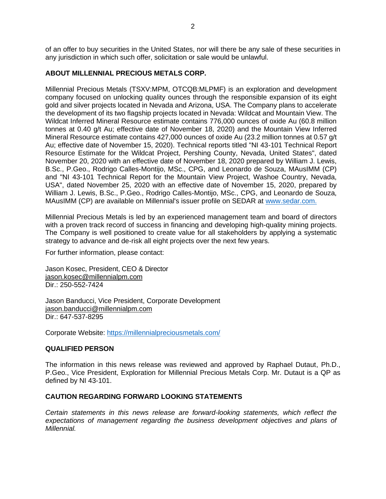of an offer to buy securities in the United States, nor will there be any sale of these securities in any jurisdiction in which such offer, solicitation or sale would be unlawful.

## **ABOUT MILLENNIAL PRECIOUS METALS CORP.**

Millennial Precious Metals (TSXV:MPM, OTCQB:MLPMF) is an exploration and development company focused on unlocking quality ounces through the responsible expansion of its eight gold and silver projects located in Nevada and Arizona, USA. The Company plans to accelerate the development of its two flagship projects located in Nevada: Wildcat and Mountain View. The Wildcat Inferred Mineral Resource estimate contains 776,000 ounces of oxide Au (60.8 million tonnes at 0.40 g/t Au; effective date of November 18, 2020) and the Mountain View Inferred Mineral Resource estimate contains 427,000 ounces of oxide Au (23.2 million tonnes at 0.57 g/t Au; effective date of November 15, 2020). Technical reports titled "NI 43-101 Technical Report Resource Estimate for the Wildcat Project, Pershing County, Nevada, United States", dated November 20, 2020 with an effective date of November 18, 2020 prepared by William J. Lewis, B.Sc., P.Geo., Rodrigo Calles-Montijo, MSc., CPG, and Leonardo de Souza, MAusIMM (CP) and "NI 43-101 Technical Report for the Mountain View Project, Washoe Country, Nevada, USA", dated November 25, 2020 with an effective date of November 15, 2020, prepared by William J. Lewis, B.Sc., P.Geo., Rodrigo Calles-Montijo, MSc., CPG, and Leonardo de Souza, MAusIMM (CP) are available on Millennial's issuer profile on SEDAR at [www.sedar.com.](http://www.sedar.com/)

Millennial Precious Metals is led by an experienced management team and board of directors with a proven track record of success in financing and developing high-quality mining projects. The Company is well positioned to create value for all stakeholders by applying a systematic strategy to advance and de-risk all eight projects over the next few years.

For further information, please contact:

Jason Kosec, President, CEO & Director [jason.kosec@millennialpm.com](mailto:jason.kosec@millennialpm.com) Dir.: 250-552-7424

Jason Banducci, Vice President, Corporate Development [jason.banducci@millennialpm.com](mailto:jason.banducci@millennialpm.com) Dir.: 647-537-8295

Corporate Website: <https://millennialpreciousmetals.com/>

## **QUALIFIED PERSON**

The information in this news release was reviewed and approved by Raphael Dutaut, Ph.D., P.Geo., Vice President, Exploration for Millennial Precious Metals Corp. Mr. Dutaut is a QP as defined by NI 43-101.

## **CAUTION REGARDING FORWARD LOOKING STATEMENTS**

*Certain statements in this news release are forward-looking statements, which reflect the*  expectations of management regarding the business development objectives and plans of *Millennial.*